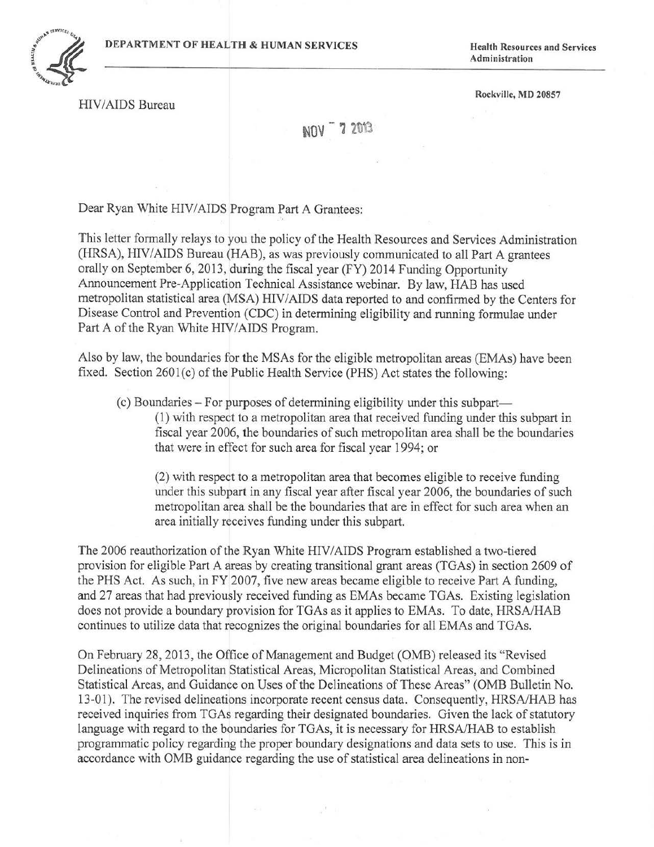

Administration

Rockville, MD 20857

HIVIAIDS Bureau

**NOV** 7 2013

Dear Ryan White HIV/AIDS Program Part A Grantees:

This letter formally relays to you the policy of the Health Resources and Services Administration (HRSA), HIV/AIDS Bureau (HAB), as was previously communicated to all Part A grantees orally on September 6, 2013, during the fiscal year (FY) 2014 Funding Opportunity Announcement Pre-Application Technical Assistance webinar. By law, HAB has used metropolitan statistical area (MSA) HIV/AIDS data reported to and confirmed by the Centers for Disease Control and Prevention (CDC) in determining eligibility and running formulae under Part A of the Ryan White HIV/AIDS Program.

Also by law, the boundaries for the MSAs for the eligible metropolitan areas (EMAs) have been fixed. Section  $2601(c)$  of the Public Health Service (PHS) Act states the following:

(c) Boundaries - For purposes of determining eligibility under this subpart

(1) with respect to a metropolitan area that received funding under this subpart in fiscal year 2006, the boundaries of such metropolitan area shall be the boundaries that were in effect for such area for fiscal year 1994; or

(2) with respect to a metropolitan area that becomes eligible to receive funding under this subpart in any fiscal year after fiscal year 2006, the boundaries of such metropolitan area shall be the boundaries that are in effect for such area when an area initially receives funding under this subpart.

The 2006 reauthorization of the Ryan White HIVIAIDS Program established a two-tiered provision for eligible Part A areas by creating transitional grant areas (TGAs) in section 2609 of the PHS Act. As such, in FY 2007, five new areas became eligible to receive Part A funding, and 27 areas that had previously received funding as EMAs became TGAs. Existing legislation does not provide a boundary provision for TGAs as it applies to EMAs. To date, HRSA/HAB continues to utilize data that recognizes the original boundaries for all EMAs and TGAs.

On February 28, 2013 , the Office of Management and Budget (OMB) released its "Revised Delineations of Metropolitan Statistical Areas, Micropolitan Statistical Areas, and Combined Statistical Areas, and Guidance on Uses of the Delineations of These Areas" (OMB Bulletin No. 13-01). The revised delineations incorporate recent census data. Consequently, HRSA/HAB has received inquiries from TGAs regarding their designated boundaries. Given the lack of statutory language with regard to the boundaries for TGAs, it is necessary for HRSA/HAB to establish programmatic policy regarding the proper boundary designations and data sets to use. This is in accordance with OMB guidance regarding the use of statistical area delineations in non